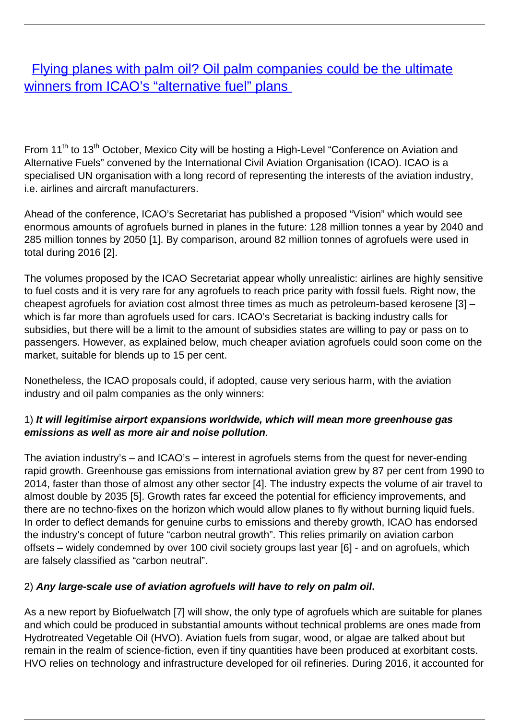[Flying planes with palm oil? Oil palm companies could be the ultimate](/bulletin-articles/flying-planes-with-palm-oil-oil-palm-companies-could-be-the-ultimate-winners-from-icaos-alternative-fuel) [winners from ICAO's "alternative fuel" plans](/bulletin-articles/flying-planes-with-palm-oil-oil-palm-companies-could-be-the-ultimate-winners-from-icaos-alternative-fuel)

From 11<sup>th</sup> to 13<sup>th</sup> October, Mexico City will be hosting a High-Level "Conference on Aviation and Alternative Fuels" convened by the International Civil Aviation Organisation (ICAO). ICAO is a specialised UN organisation with a long record of representing the interests of the aviation industry, i.e. airlines and aircraft manufacturers.

Ahead of the conference, ICAO's Secretariat has published a proposed "Vision" which would see enormous amounts of agrofuels burned in planes in the future: 128 million tonnes a year by 2040 and 285 million tonnes by 2050 [1]. By comparison, around 82 million tonnes of agrofuels were used in total during 2016 [2].

The volumes proposed by the ICAO Secretariat appear wholly unrealistic: airlines are highly sensitive to fuel costs and it is very rare for any agrofuels to reach price parity with fossil fuels. Right now, the cheapest agrofuels for aviation cost almost three times as much as petroleum-based kerosene [3] – which is far more than agrofuels used for cars. ICAO's Secretariat is backing industry calls for subsidies, but there will be a limit to the amount of subsidies states are willing to pay or pass on to passengers. However, as explained below, much cheaper aviation agrofuels could soon come on the market, suitable for blends up to 15 per cent.

Nonetheless, the ICAO proposals could, if adopted, cause very serious harm, with the aviation industry and oil palm companies as the only winners:

## 1) **It will legitimise airport expansions worldwide, which will mean more greenhouse gas emissions as well as more air and noise pollution**.

The aviation industry's – and ICAO's – interest in agrofuels stems from the quest for never-ending rapid growth. Greenhouse gas emissions from international aviation grew by 87 per cent from 1990 to 2014, faster than those of almost any other sector [4]. The industry expects the volume of air travel to almost double by 2035 [5]. Growth rates far exceed the potential for efficiency improvements, and there are no techno-fixes on the horizon which would allow planes to fly without burning liquid fuels. In order to deflect demands for genuine curbs to emissions and thereby growth, ICAO has endorsed the industry's concept of future "carbon neutral growth". This relies primarily on aviation carbon offsets – widely condemned by over 100 civil society groups last year [6] - and on agrofuels, which are falsely classified as "carbon neutral".

## 2) **Any large-scale use of aviation agrofuels will have to rely on palm oil.**

As a new report by Biofuelwatch [7] will show, the only type of agrofuels which are suitable for planes and which could be produced in substantial amounts without technical problems are ones made from Hydrotreated Vegetable Oil (HVO). Aviation fuels from sugar, wood, or algae are talked about but remain in the realm of science-fiction, even if tiny quantities have been produced at exorbitant costs. HVO relies on technology and infrastructure developed for oil refineries. During 2016, it accounted for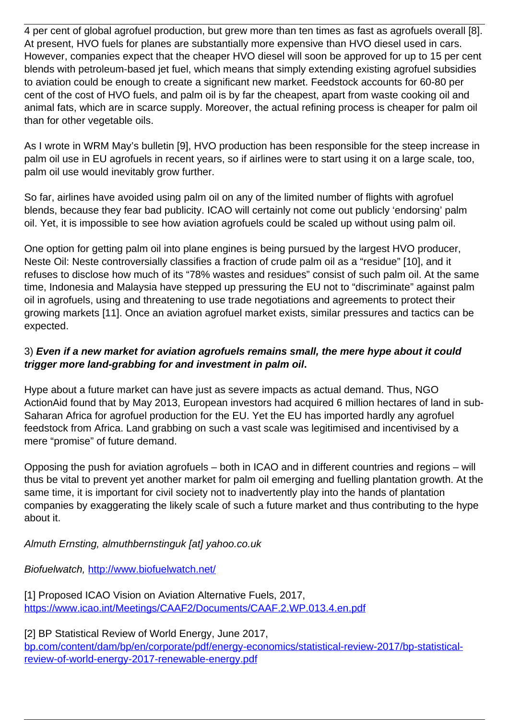4 per cent of global agrofuel production, but grew more than ten times as fast as agrofuels overall [8]. At present, HVO fuels for planes are substantially more expensive than HVO diesel used in cars. However, companies expect that the cheaper HVO diesel will soon be approved for up to 15 per cent blends with petroleum-based jet fuel, which means that simply extending existing agrofuel subsidies to aviation could be enough to create a significant new market. Feedstock accounts for 60-80 per cent of the cost of HVO fuels, and palm oil is by far the cheapest, apart from waste cooking oil and animal fats, which are in scarce supply. Moreover, the actual refining process is cheaper for palm oil than for other vegetable oils.

As I wrote in WRM May's bulletin [9], HVO production has been responsible for the steep increase in palm oil use in EU agrofuels in recent years, so if airlines were to start using it on a large scale, too, palm oil use would inevitably grow further.

So far, airlines have avoided using palm oil on any of the limited number of flights with agrofuel blends, because they fear bad publicity. ICAO will certainly not come out publicly 'endorsing' palm oil. Yet, it is impossible to see how aviation agrofuels could be scaled up without using palm oil.

One option for getting palm oil into plane engines is being pursued by the largest HVO producer, Neste Oil: Neste controversially classifies a fraction of crude palm oil as a "residue" [10], and it refuses to disclose how much of its "78% wastes and residues" consist of such palm oil. At the same time, Indonesia and Malaysia have stepped up pressuring the EU not to "discriminate" against palm oil in agrofuels, using and threatening to use trade negotiations and agreements to protect their growing markets [11]. Once an aviation agrofuel market exists, similar pressures and tactics can be expected.

## 3) **Even if a new market for aviation agrofuels remains small, the mere hype about it could trigger more land-grabbing for and investment in palm oil.**

Hype about a future market can have just as severe impacts as actual demand. Thus, NGO ActionAid found that by May 2013, European investors had acquired 6 million hectares of land in sub-Saharan Africa for agrofuel production for the EU. Yet the EU has imported hardly any agrofuel feedstock from Africa. Land grabbing on such a vast scale was legitimised and incentivised by a mere "promise" of future demand.

Opposing the push for aviation agrofuels – both in ICAO and in different countries and regions – will thus be vital to prevent yet another market for palm oil emerging and fuelling plantation growth. At the same time, it is important for civil society not to inadvertently play into the hands of plantation companies by exaggerating the likely scale of such a future market and thus contributing to the hype about it.

Almuth Ernsting, almuthbernstinguk [at] yahoo.co.uk

Biofuelwatch, <http://www.biofuelwatch.net/>

[1] Proposed ICAO Vision on Aviation Alternative Fuels, 2017, <https://www.icao.int/Meetings/CAAF2/Documents/CAAF.2.WP.013.4.en.pdf>

[2] BP Statistical Review of World Energy, June 2017,

[bp.com/content/dam/bp/en/corporate/pdf/energy-economics/statistical-review-2017/bp-statistical](http://www.bp.com/content/dam/bp/en/corporate/pdf/energy-economics/statistical-review-2017/bp-statistical-review-of-world-energy-2017-renewable-energy.pdf)[review-of-world-energy-2017-renewable-energy.pdf](http://www.bp.com/content/dam/bp/en/corporate/pdf/energy-economics/statistical-review-2017/bp-statistical-review-of-world-energy-2017-renewable-energy.pdf)